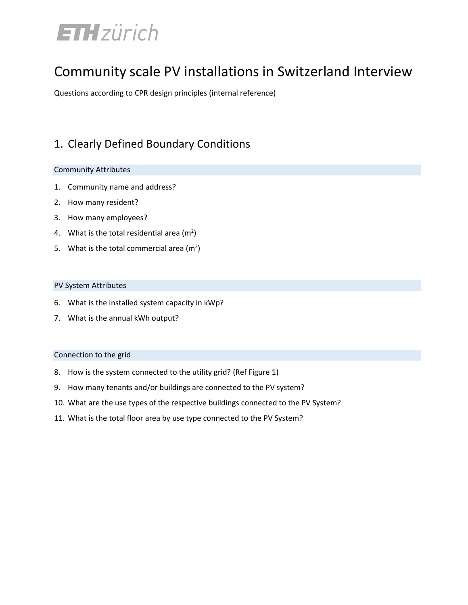# **ETH**zürich

## Community scale PV installations in Switzerland Interview

Questions according to CPR design principles (internal reference)

## 1. Clearly Defined Boundary Conditions

#### Community Attributes

- 1. Community name and address?
- 2. How many resident?
- 3. How many employees?
- 4. What is the total residential area  $(m^2)$
- 5. What is the total commercial area  $(m<sup>2</sup>)$

#### PV System Attributes

- 6. What is the installed system capacity in kWp?
- 7. What is the annual kWh output?

#### Connection to the grid

- 8. How is the system connected to the utility grid? (Ref Figure 1)
- 9. How many tenants and/or buildings are connected to the PV system?
- 10. What are the use types of the respective buildings connected to the PV System?
- 11. What is the total floor area by use type connected to the PV System?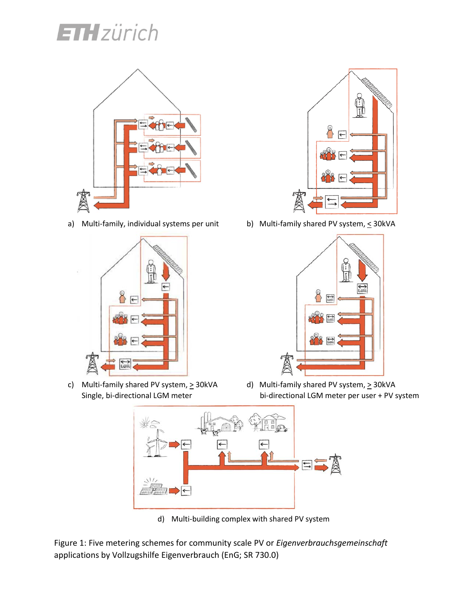# **ETH**zürich



a) Multi-family, individual systems per unit b) Multi-family shared PV system,  $\leq$  30kVA



c) Multi-family shared PV system,  $\geq 30$ kVA d) Multi-family shared PV system,  $\geq 30$ kVA





Single, bi-directional LGM meter bi-directional LGM meter per user + PV system



d) Multi-building complex with shared PV system

Figure 1: Five metering schemes for community scale PV or *Eigenverbrauchsgemeinschaft* applications by Vollzugshilfe Eigenverbrauch (EnG; SR 730.0[\)](http://www.bfe.admin.ch/php/modules/publikationen/stream.php?extlang=de&name=de_270758715.pdf)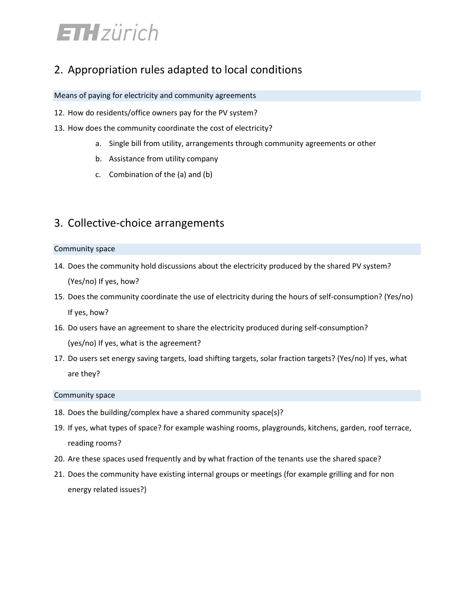## **ETH** zürich

### 2. Appropriation rules adapted to local conditions

#### Means of paying for electricity and community agreements

- 12. How do residents/office owners pay for the PV system?
- 13. How does the community coordinate the cost of electricity?
	- a. Single bill from utility, arrangements through community agreements or other
	- b. Assistance from utility company
	- c. Combination of the (a) and (b)

### 3. Collective-choice arrangements

#### Community space

- 14. Does the community hold discussions about the electricity produced by the shared PV system? (Yes/no) If yes, how?
- 15. Does the community coordinate the use of electricity during the hours of self-consumption? (Yes/no) If yes, how?
- 16. Do users have an agreement to share the electricity produced during self-consumption? (yes/no) If yes, what is the agreement?
- 17. Do users set energy saving targets, load shifting targets, solar fraction targets? (Yes/no) If yes, what are they?

#### Community space

- 18. Does the building/complex have a shared community space(s)?
- 19. If yes, what types of space? for example washing rooms, playgrounds, kitchens, garden, roof terrace, reading rooms?
- 20. Are these spaces used frequently and by what fraction of the tenants use the shared space?
- 21. Does the community have existing internal groups or meetings (for example grilling and for non energy related issues?)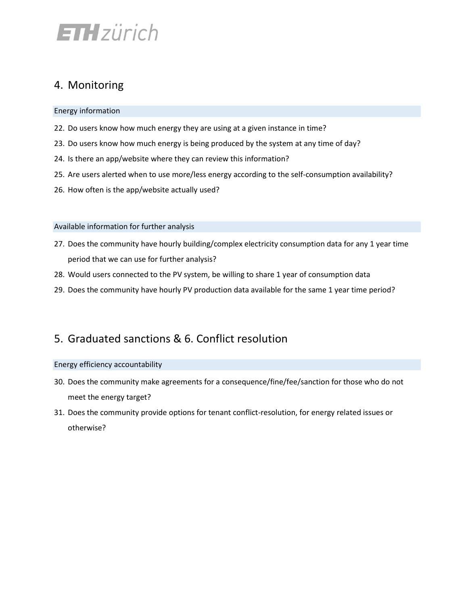## **ETH** zürich

## 4. Monitoring

Energy information

- 22. Do users know how much energy they are using at a given instance in time?
- 23. Do users know how much energy is being produced by the system at any time of day?
- 24. Is there an app/website where they can review this information?
- 25. Are users alerted when to use more/less energy according to the self-consumption availability?
- 26. How often is the app/website actually used?

#### Available information for further analysis

- 27. Does the community have hourly building/complex electricity consumption data for any 1 year time period that we can use for further analysis?
- 28. Would users connected to the PV system, be willing to share 1 year of consumption data
- 29. Does the community have hourly PV production data available for the same 1 year time period?

### 5. Graduated sanctions & 6. Conflict resolution

#### Energy efficiency accountability

- 30. Does the community make agreements for a consequence/fine/fee/sanction for those who do not meet the energy target?
- 31. Does the community provide options for tenant conflict-resolution, for energy related issues or otherwise?